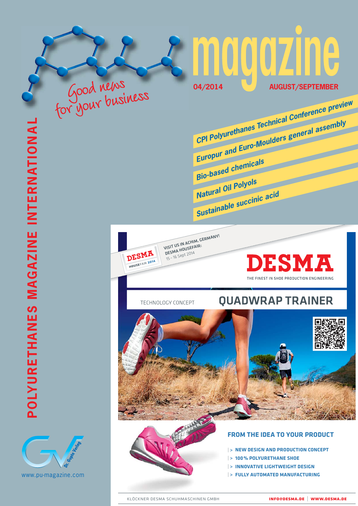



For your business

**VISIT US IN ACHIM, GERMANY! DESMA HOUSEFAIR:** 15 – 16 Sept 2014



# TECHNOLOGY CONCEPT **QUADWRAP TRAINER**

**04/2014 AUGUST/SEPTEMBER**

**CPI Polyurethanes Technical Conference preview**

**Europur and Euro-Moulders general assembly**



**Bio-based chemicals**

**Sustainable succinic acid**

**Natural Oil Polyols**



# **FROM THE IDEA TO YOUR PRODUCT**

- | **> NEW DESIGN AND PRODUCTION CONCEPT**
- | **> 100% POLYURETHANE SHOE**
- | **> INNOVATIVE LIGHTWEIGHT DESIGN**
- | **> FULLY AUTOMATED MANUFACTURING**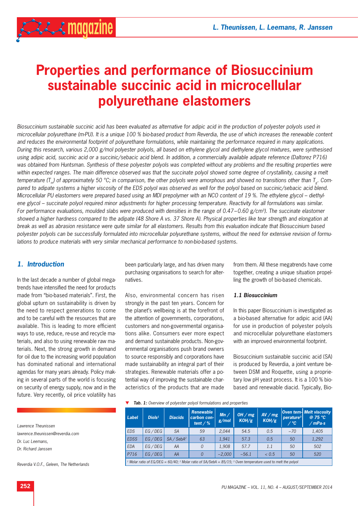

# **Properties and performance of Biosuccinium sustainable succinic acid in microcellular polyurethane elastomers**

*Biosuccinium sustainable succinic acid has been evaluated as alternative for adipic acid in the production of polyester polyols used in microcellular polyurethane (m-PU). It is a unique 100 % bio-based product from Reverdia, the use of which increases the renewable content and reduces the environmental footprint of polyurethane formulations, while maintaining the performance required in many applications. During this research, various 2,000 g/mol polyester polyols, all based on ethylene glycol and diethylene glycol mixtures, were synthesised using adipic acid, succinic acid or a succinic/sebacic acid blend. In addition, a commercially available adipate reference (Daltorez P716) was obtained from Huntsman. Synthesis of these polyester polyols was completed without any problems and the resulting properties were*  within expected ranges. The main difference observed was that the succinate polyol showed some degree of crystallinity, causing a melt temperature (T<sub>m</sub>) of approximately 50 °C; in comparison, the other polyols were amorphous and showed no transitions other than T<sub>g</sub>. Com *pared to adipate systems a higher viscosity of the EDS polyol was observed as well for the polyol based on succinic/sebacic acid blend. Microcellular PU elastomers were prepared based using an MDI prepolymer with an NCO content of 19 %. The ethylene glycol – diethylene glycol – succinate polyol required minor adjustments for higher processing temperature. Reactivity for all formulations was similar. For performance evaluations, moulded slabs were produced with densities in the range of 0.47–0.60 g/cm<sup>3</sup>). The succinate elastomer showed a higher hardness compared to the adipate (48 Shore A vs. 37 Shore A). Physical properties like tear strength and elongation at break as well as abrasion resistance were quite similar for all elastomers. Results from this evaluation indicate that Biosuccinium based polyester polyols can be successfully formulated into microcellular polyurethane systems, without the need for extensive revision of formulations to produce materials with very similar mechanical performance to non-bio-based systems.*

# *1. Introduction*

In the last decade a number of global megatrends have intensified the need for products made from "bio-based materials". First, the global upturn on sustainability is driven by the need to respect generations to come and to be careful with the resources that are available. This is leading to more efficient ways to use, reduce, re-use and recycle materials, and also to using renewable raw materials. Next, the strong growth in demand for oil due to the increasing world population has dominated national and international agendas for many years already. Policy making in several parts of the world is focusing on security of energy supply, now and in the future. Very recently, oil price volatility has

been particularly large, and has driven many purchasing organisations to search for alternatives.

Also, environmental concern has risen strongly in the past ten years. Concern for the planet's wellbeing is at the forefront of the attention of governments, corporations, customers and non-governmental organisations alike. Consumers ever more expect and demand sustainable products. Non-governmental organisations push brand owners to source responsibly and corporations have made sustainability an integral part of their strategies. Renewable materials offer a potential way of improving the sustainable characteristics of the products that are made

from them. All these megatrends have come together, creating a unique situation propelling the growth of bio-based chemicals.

#### *1.1 Biosuccinium*

In this paper Biosuccinium is investigated as a bio-based alternative for adipic acid (AA) for use in production of polyester polyols and microcellular polyurethane elastomers with an improved environmental footprint.

Biosuccinium sustainable succinic acid (SA) is produced by Reverdia, a joint venture between DSM and Roquette, using a proprietary low pH yeast process. It is a 100 % biobased and renewable diacid. Typically, Bio-

*Lawrence Theunissen lawrence.theunissen@reverdia.com Dr. Luc Leemans, Dr. Richard Janssen*

*Reverdia V.O.F., Geleen, The Netherlands*

#### $\blacktriangledown$  **Tab. 1:** Overview of polyester polyol formulations and properties

| Label                                                                                                                                          | Diols <sup>1</sup> | <b>Diacids</b>         | Renewable<br>carbon con-<br>tent $/$ % | Mn/<br>g/mol | OH / $mg$<br>KOH/g | AV/mg<br>KOH/g | perature <sup>3</sup><br>⁄ ℃ | Oven tem- Melt viscosity<br>@ 75 °C<br>/mPa·s |
|------------------------------------------------------------------------------------------------------------------------------------------------|--------------------|------------------------|----------------------------------------|--------------|--------------------|----------------|------------------------------|-----------------------------------------------|
| <b>EDS</b>                                                                                                                                     | EG/DEG             | <b>SA</b>              | 59                                     | 2.044        | 54.5               | 0.5            | $~10^{-70}$                  | 1,405                                         |
| <b>EDSS</b>                                                                                                                                    | $EG$ / $DEG$       | SA / SebA <sup>2</sup> | 63                                     | 1.941        | 57.3               | 0.5            | 50                           | 1,292                                         |
| <b>EDA</b>                                                                                                                                     | EG/DEG             | AA                     | 0                                      | 1,908        | 57.7               | 1.1            | 50                           | 502                                           |
| P716                                                                                                                                           | $EG$ / $DEG$       | AA                     |                                        | ~2.000       | ~1                 | < 0.5          | 50                           | 520                                           |
| <sup>1</sup> Molar ratio of EG/DEG = 60/40; <sup>2</sup> Molar ratio of SA/SebA = 85/15; <sup>3</sup> Oven temperature used to melt the polyol |                    |                        |                                        |              |                    |                |                              |                                               |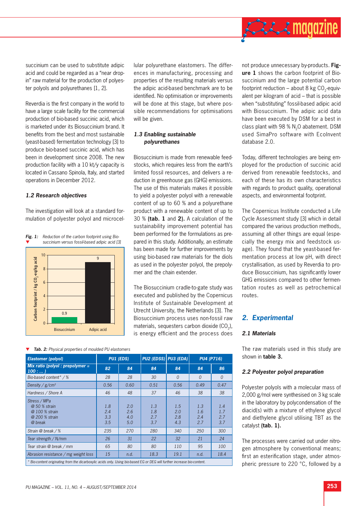

succinium can be used to substitute adipic acid and could be regarded as a "near dropin" raw material for the production of polyester polyols and polyurethanes [1, 2].

Reverdia is the first company in the world to have a large scale facility for the commercial production of bio-based succinic acid, which is marketed under its Biosuccinium brand. It benefits from the best and most sustainable (yeast-based) fermentation technology [3] to produce bio-based succinic acid, which has been in development since 2008. The new production facility with a 10 kt/y capacity is located in Cassano Spinola, Italy, and started operations in December 2012.

### *1.2 Research objectives*

The investigation will look at a standard formulation of polyester polyol and microcel-



*Fig. 1: Reduction of the carbon footprint using Bio succinium versus fossil-based adipic acid [3]* lular polyurethane elastomers. The differences in manufacturing, processing and properties of the resulting materials versus the adipic acid-based benchmark are to be identified. No optimisation or improvements will be done at this stage, but where possible recommendations for optimisations will be given.

# *1.3 Enabling sustainable polyurethanes*

Biosuccinium is made from renewable feedstocks, which requires less from the earth's limited fossil resources, and delivers a reduction in greenhouse gas (GHG) emissions. The use of this materials makes it possible to yield a polyester polyol with a renewable content of up to 60 % and a polyurethane product with a renewable content of up to 30 % **(tab. 1** and **2).** A calculation of the sustainability improvement potential has been performed for the formulations as prepared in this study. Additionally, an estimate has been made for further improvements by using bio-based raw materials for the diols as used in the polyester polyol, the prepolymer and the chain extender.

The Biosuccinium cradle-to-gate study was executed and published by the Copernicus Institute of Sustainable Development at Utrecht University, the Netherlands [3]. The Biosuccinium process uses non-fossil raw materials, sequesters carbon dioxide (CO<sub>2</sub>), is energy efficient and the process does

*Tab. 2: Physical properties of moulded PU elastomers*

| <b>Elastomer (polyol)</b>                                                                                                | <b>PU1 (EDS)</b>         |                          | PU2 (EDSS) PU3 (EDA)     |                          | <b>PU4 (P716)</b>        |                          |
|--------------------------------------------------------------------------------------------------------------------------|--------------------------|--------------------------|--------------------------|--------------------------|--------------------------|--------------------------|
| Mix ratio (polyol : prepolymer $=$<br>100:                                                                               | 82                       | 84                       | 84                       | 84                       | 84                       | 86                       |
| Bio-based content* / %                                                                                                   | 28                       | 28                       | 30                       | $\Omega$                 | $\Omega$                 | $\Omega$                 |
| Density / $g/cm^3$                                                                                                       | 0.56                     | 0.60                     | 0.51                     | 0.56                     | 0.49                     | 0.47                     |
| Hardness / Shore A                                                                                                       | 46                       | 48                       | 37                       | 46                       | 38                       | 38                       |
| Stress / MPa<br>@ 50 % strain<br>@ 100 % strain<br>@ 200 % strain<br>@ break                                             | 1.8<br>2.4<br>3.3<br>3.5 | 2.0<br>2.6<br>4.0<br>5.0 | 1.3<br>1.8<br>2.7<br>3.7 | 1.5<br>2.0<br>2.8<br>4.3 | 1.3<br>1.6<br>2.4<br>2.7 | 1.4<br>1.7<br>2.7<br>3.7 |
| Strain @ break / %                                                                                                       | 235                      | 270                      | 280                      | 340                      | 250                      | 300                      |
| Tear strength / $N/mm$                                                                                                   | 26                       | 31                       | 22                       | 32                       | 21                       | 24                       |
| Tear strain @ break / mm                                                                                                 | 65                       | 80                       | 80                       | 110                      | 95                       | 100                      |
| Abrasion resistance / mg weight loss                                                                                     | 15                       | n.d.                     | 18.3                     | 19.1                     | n.d.                     | 18.4                     |
| * Bio-content originating from the dicarboxylic acids only. Using bio-based EG or DEG will further increase bio-content. |                          |                          |                          |                          |                          |                          |

not produce unnecessary by-products. **Figure 1** shows the carbon footprint of Biosuccinium and the large potential carbon footprint reduction – about 8 kg  $CO$ <sub>-equiv-</sub> alent per kilogram of acid – that is possible when "substituting" fossil-based adipic acid with Biosuccinium. The adipic acid data have been executed by DSM for a best in class plant with 98 % N<sub>2</sub>O abatement. DSM used SimaPro software with EcoInvent database 2.0.

Today, different technologies are being employed for the production of succinic acid derived from renewable feedstocks, and each of these has its own characteristics with regards to product quality, operational aspects, and environmental footprint.

The Copernicus Institute conducted a Life Cycle Assessment study [3] which in detail compared the various production methods, assuming all other things are equal (especially the energy mix and feedstock usage). They found that the yeast-based fermentation process at low pH, with direct crystallisation, as used by Reverdia to produce Biosuccinium, has significantly lower GHG emissions compared to other fermentation routes as well as petrochemical routes.

# *2. Experimental*

## *2.1 Materials*

The raw materials used in this study are shown in **table 3.**

#### *2.2 Polyester polyol preparation*

Polyester polyols with a molecular mass of 2,000 g/mol were synthesised on 3 kg scale in the laboratory by polycondensation of the diacid(s) with a mixture of ethylene glycol and diethylene glycol utilising TBT as the catalyst **(tab. 1).**

The processes were carried out under nitrogen atmosphere by conventional means; first an esterification stage, under atmospheric pressure to 220 °C, followed by a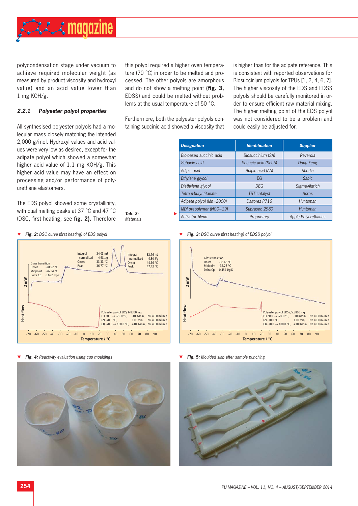

polycondensation stage under vacuum to achieve required molecular weight (as measured by product viscosity and hydroxyl value) and an acid value lower than 1 mg KOH/g.

this polyol required a higher oven temperature (70 °C) in order to be melted and processed. The other polyols are amorphous and do not show a melting point **(fig. 3,** EDSS) and could be melted without problems at the usual temperature of 50 °C.

# *2.2.1 Polyester polyol properties*

All synthesised polyester polyols had a molecular mass closely matching the intended 2,000 g/mol. Hydroxyl values and acid values were very low as desired, except for the adipate polyol which showed a somewhat higher acid value of 1.1 mg KOH/g. This higher acid value may have an effect on processing and/or performance of polyurethane elastomers.

The EDS polyol showed some crystallinity, with dual melting peaks at 37 °C and 47 °C (DSC, first heating, see fig. 2). Therefore



**Fig. 4:** Reactivity evaluation using cup mouldings **Fig. 5: Fig. 5:** Moulded slab after sample punching



Furthermore, both the polyester polyols containing succinic acid showed a viscosity that

is higher than for the adipate reference. This is consistent with reported observations for Biosuccinium polyols for TPUs [1, 2, 4, 6, 7]. The higher viscosity of the EDS and EDSS polyols should be carefully monitored in order to ensure efficient raw material mixing. The higher melting point of the EDS polyol was not considered to be a problem and could easily be adjusted for.

|                             | <b>Designation</b>            | <b>Identification</b> | <b>Supplier</b>     |
|-----------------------------|-------------------------------|-----------------------|---------------------|
|                             | Bio-based succinic acid       | Biosuccinium (SA)     | Reverdia            |
|                             | Sebacic acid                  | Sebacic acid (SebA)   | Dong Feng           |
|                             | Adipic acid                   | Adipic acid (AA)      | Rhodia              |
|                             | Ethylene glycol               | EG                    | <b>Sabic</b>        |
|                             | Diethylene glycol             | <b>DEG</b>            | Sigma-Aldrich       |
|                             | Tetra n-butyl titanate        | TBT catalyst          | Acros               |
|                             | Adipate polyol (Mn=2000)      | Daltorez P716         | Huntsman            |
|                             | MDI prepolymer ( $NCO = 19$ ) | Suprasec 2980         | Huntsman            |
| Tab. 3:<br><b>Materials</b> | <b>Activator blend</b>        | Proprietary           | Apple Polyurethanes |





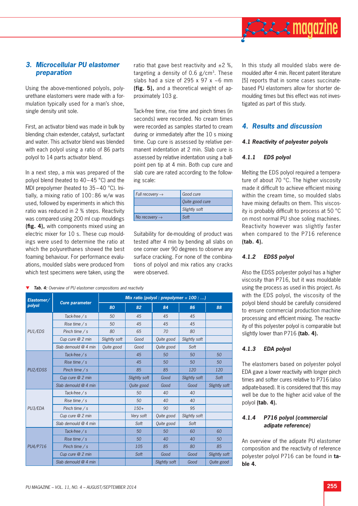

# *3. Microcellular PU elastomer preparation*

Using the above-mentioned polyols, polyurethane elastomers were made with a formulation typically used for a man's shoe, single density unit sole.

First, an activator blend was made in bulk by blending chain extender, catalyst, surfactant and water. This activator blend was blended with each polyol using a ratio of 86 parts polyol to 14 parts activator blend.

In a next step, a mix was prepared of the polyol blend (heated to 40 – 45 °C) and the MDI prepolymer (heated to 35 – 40 °C). Initially, a mixing ratio of 100 : 86 w/w was used, followed by experiments in which this ratio was reduced in 2 % steps. Reactivity was compared using 200 ml cup mouldings (fig. 4), with components mixed using an electric mixer for 10 s. These cup mouldings were used to determine the ratio at which the polyurethanes showed the best foaming behaviour. For performance evaluations, moulded slabs were produced from which test specimens were taken, using the

*Tab. 4: Overview of PU elastomer compositions and reactivity*

| Elastomer/ |                        | Mix ratio (polyol : prepolymer = $100$ : ) |                   |               |               |               |  |  |
|------------|------------------------|--------------------------------------------|-------------------|---------------|---------------|---------------|--|--|
| polyol     | <b>Cure parameter</b>  | 80                                         | 82                | 84            | 86            | 88            |  |  |
| PU1/EDS    | Tack-free $/s$         | 50                                         | 45                | 45            | 45            |               |  |  |
|            | Rise time $/s$         | 50                                         | 45                | 45            | 45            |               |  |  |
|            | Pinch time $/s$        | 80                                         | 65                | 70            | 80            |               |  |  |
|            | Cup cure @ 2 min       | Slightly soft                              | Good              | Quite good    | Slightly soft |               |  |  |
|            | Slab demould $@$ 4 min | Quite good                                 | Good              | Quite good    | Soft          |               |  |  |
|            | Tack-free $/s$         |                                            | 45                | 50            | 50            | 50            |  |  |
|            | Rise time $/s$         |                                            | 45                | 50            | 50            | 50            |  |  |
| PU2/EDSS   | Pinch time $/s$        |                                            | 85                | 85            | 120           | 120           |  |  |
|            | Cup cure @ 2 min       |                                            | Slightly soft     | Good          | Slightly soft | Soft          |  |  |
|            | Slab demould $@$ 4 min |                                            | <b>Ouite</b> good | Good          | Good          | Slightly soft |  |  |
|            | Tack-free $/s$         |                                            | 50                | 40            | 40            |               |  |  |
|            | Rise time $/s$         |                                            | 50                | 40            | 40            |               |  |  |
| PU3/EDA    | Pinch time $/s$        |                                            | $150+$            | 90            | 95            |               |  |  |
|            | Cup cure $@$ 2 min     |                                            | Very soft         | Quite good    | Slightly soft |               |  |  |
|            | Slab demould $@$ 4 min |                                            | Soft              | Quite good    | Soft          |               |  |  |
| PU4/P716   | Tack-free $/s$         |                                            | 50                | 50            | 60            | 60            |  |  |
|            | Rise time $/s$         |                                            | 50                | 40            | 40            | 50            |  |  |
|            | Pinch time $/s$        |                                            | 105               | 85            | 80            | 85            |  |  |
|            | Cup cure $@$ 2 min     |                                            | Soft              | Good          | Good          | Slightly soft |  |  |
|            | Slab demould @ 4 min   |                                            |                   | Slightly soft | Good          | Quite good    |  |  |

ratio that gave best reactivity and  $\pm 2$  %. targeting a density of 0.6  $g/cm<sup>3</sup>$ . These slabs had a size of 295 x 97 x  $\sim$  6 mm **(fig. 5),** and a theoretical weight of approximately 103 g.

Tack-free time, rise time and pinch times (in seconds) were recorded. No cream times were recorded as samples started to cream during or immediately after the 10 s mixing time. Cup cure is assessed by relative permanent indentation at 2 min. Slab cure is assessed by relative indentation using a ballpoint pen tip at 4 min. Both cup cure and slab cure are rated according to the following scale:

| Full recovery $\rightarrow$ | Good cure       |
|-----------------------------|-----------------|
|                             | Quite good cure |
|                             | Slightly soft   |
| No recovery $\rightarrow$   | Soft            |

Suitability for de-moulding of product was tested after 4 min by bending all slabs on one corner over 90 degrees to observe any surface cracking. For none of the combinations of polyol and mix ratios any cracks were observed.

In this study all moulded slabs were demoulded after 4 min. Recent patent literature [5] reports that in some cases succinatebased PU elastomers allow for shorter demoulding times but this effect was not investigated as part of this study.

# *4. Results and discussion*

### *4.1 Reactivity of polyester polyols*

## *4.1.1 EDS polyol*

Melting the EDS polyol required a temperature of about 70 °C. The higher viscosity made it difficult to achieve efficient mixing within the cream time, so moulded slabs have mixing defaults on them. This viscosity is probably difficult to process at 50 $\degree$ C on most normal PU shoe soling machines. Reactivity however was slightly faster when compared to the P716 reference **(tab. 4).**

# *4.1.2 EDSS polyol*

Also the EDSS polyester polyol has a higher viscosity than P716, but it was mouldable using the process as used in this project. As with the EDS polyol, the viscosity of the polyol blend should be carefully considered to ensure commercial production machine processing and efficient mixing. The reactivity of this polyester polyol is comparable but slightly lower than P716 **(tab. 4).**

# *4.1.3 EDA polyol*

The elastomers based on polyester polyol EDA gave a lower reactivity with longer pinch times and softer cures relative to P716 (also adipate-based). It is considered that this may well be due to the higher acid value of the polyol **(tab. 4).**

## *4.1.4 P716 polyol (commercial adipate reference)*

An overview of the adipate PU elastomer composition and the reactivity of reference polyester polyol P716 can be found in **table 4.**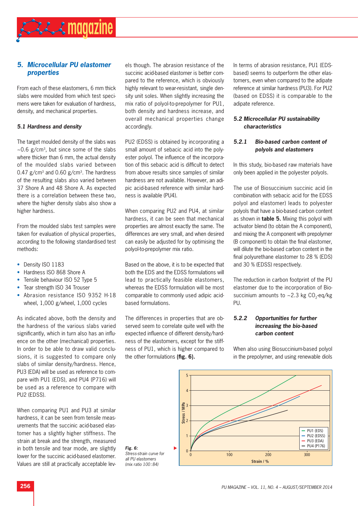

# *5. Microcellular PU elastomer properties*

From each of these elastomers, 6 mm thick slabs were moulded from which test specimens were taken for evaluation of hardness, density, and mechanical properties.

## *5.1 Hardness and density*

The target moulded density of the slabs was  $\sim$ 0.6 g/cm<sup>3</sup>, but since some of the slabs where thicker than 6 mm, the actual density of the moulded slabs varied between 0.47  $g/cm<sup>3</sup>$  and 0.60  $g/cm<sup>3</sup>$ . The hardness of the resulting slabs also varied between 37 Shore A and 48 Shore A. As expected there is a correlation between these two, where the higher density slabs also show a higher hardness.

From the moulded slabs test samples were taken for evaluation of physical properties, according to the following standardised test methods:

- Density ISO 1183
- Hardness ISO 868 Shore A
- Tensile behaviour ISO 52 Type 5
- Tear strength ISO 34 Trouser
- Abrasion resistance ISO 9352 H-18 wheel, 1,000 g/wheel, 1,000 cycles

As indicated above, both the density and the hardness of the various slabs varied significantly, which in turn also has an influence on the other (mechanical) properties. In order to be able to draw valid conclusions, it is suggested to compare only slabs of similar density/hardness. Hence, PU3 (EDA) will be used as reference to compare with PU1 (EDS), and PU4 (P716) will be used as a reference to compare with PU2 (EDSS).

When comparing PU1 and PU3 at similar hardness, it can be seen from tensile measurements that the succinic acid-based elastomer has a slightly higher stiffness. The strain at break and the strength, measured in both tensile and tear mode, are slightly lower for the succinic acid-based elastomer. Values are still at practically acceptable levels though. The abrasion resistance of the succinic acid-based elastomer is better compared to the reference, which is obviously highly relevant to wear-resistant, single density unit soles. When slightly increasing the mix ratio of polyol-to-prepolymer for PU1, both density and hardness increase, and overall mechanical properties change accordingly.

PU2 (EDSS) is obtained by incorporating a small amount of sebacic acid into the polyester polyol. The influence of the incorporation of this sebacic acid is difficult to detect from above results since samples of similar hardness are not available. However, an adipic acid-based reference with similar hardness is available (PU4).

When comparing PU2 and PU4, at similar hardness, it can be seen that mechanical properties are almost exactly the same. The differences are very small, and when desired can easily be adjusted for by optimising the polyol-to-prepolymer mix ratio.

Based on the above, it is to be expected that both the EDS and the EDSS formulations will lead to practically feasible elastomers, whereas the EDSS formulation will be most comparable to commonly used adipic acidbased formulations.

The differences in properties that are observed seem to correlate quite well with the expected influence of different density/hardness of the elastomers, except for the stiffness of PU1, which is higher compared to the other formulations (fig. 6).

In terms of abrasion resistance, PU1 (EDSbased) seems to outperform the other elastomers, even when compared to the adipate reference at similar hardness (PU3). For PU2 (based on EDSS) it is comparable to the adipate reference.

# *5.2 Microcellular PU sustainability characteristics*

# *5.2.1 Bio-based carbon content of polyols and elastomers*

In this study, bio-based raw materials have only been applied in the polyester polyols.

The use of Biosuccinium succinic acid (in combination with sebacic acid for the EDSS polyol and elastomer) leads to polyester polyols that have a bio-based carbon content as shown in **table 5.** Mixing this polyol with activator blend (to obtain the A component), and mixing the A component with prepolymer (B component) to obtain the final elastomer. will dilute the bio-based carbon content in the final polyurethane elastomer to 28 % (EDS) and 30 % (EDSS) respectively.

The reduction in carbon footprint of the PU elastomer due to the incorporation of Biosuccinium amounts to  $\sim$  2.3 kg CO<sub>2</sub>-eq/kg PU.

# *5.2.2 Opportunities for further increasing the bio-based carbon content*

When also using Biosuccinium-based polyol in the prepolymer, and using renewable diols

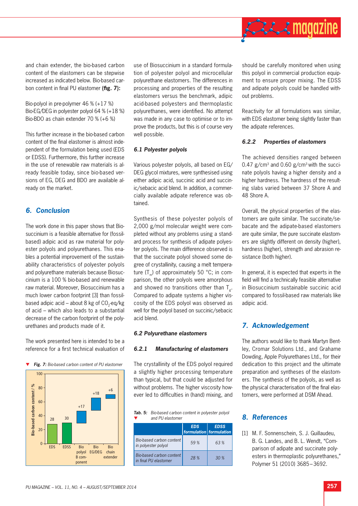

and chain extender, the bio-based carbon content of the elastomers can be stepwise increased as indicated below. Bio-based carbon content in final PU elastomer (fig. 7):

Bio-polyol in pre-polymer 46 % (+17 %) Bio-EG/DEG in polyester polyol 64 % (+18 %) Bio-BDO as chain extender 70 % (+6 %)

This further increase in the bio-based carbon content of the final elastomer is almost independent of the formulation being used (EDS or EDSS). Furthermore, this further increase in the use of renewable raw materials is already feasible today, since bio-based versions of EG, DEG and BDO are available already on the market.

# *6. Conclusion*

The work done in this paper shows that Biosuccinium is a feasible alternative for (fossilbased) adipic acid as raw material for polyester polyols and polyurethanes. This enables a potential improvement of the sustainability characteristics of polyester polyols and polyurethane materials because Biosuccinium is a 100 % bio-based and renewable raw material. Moreover, Biosuccinium has a much lower carbon footprint [3] than fossilbased adipic acid – about 8 kg of  $CO<sub>2</sub>$ -eq/kg of acid – which also leads to a substantial decrease of the carbon footprint of the polyurethanes and products made of it.

The work presented here is intended to be a reference for a first technical evaluation of



use of Biosuccinium in a standard formulation of polyester polyol and microcellular polyurethane elastomers. The differences in processing and properties of the resulting elastomers versus the benchmark, adipic acid-based polyesters and thermoplastic polyurethanes, were identified. No attempt was made in any case to optimise or to improve the products, but this is of course very well possible.

#### *6.1 Polyester polyols*

Various polyester polyols, all based on EG/ DEG glycol mixtures, were synthesised using either adipic acid, succinic acid and succinic/sebacic acid blend. In addition, a commercially available adipate reference was obtained.

Synthesis of these polyester polyols of 2,000 g/mol molecular weight were completed without any problems using a standard process for synthesis of adipate polyester polyols. The main difference observed is that the succinate polyol showed some degree of crystallinity, causing a melt temperature  $(T_m)$  of approximately 50 °C; in comparison, the other polyols were amorphous and showed no transitions other than  $T_{g}$ . Compared to adipate systems a higher viscosity of the EDS polyol was observed as well for the polyol based on succinic/sebacic acid blend.

#### *6.2 Polyurethane elastomers*

#### *6.2.1 Manufacturing of elastomers*

The crystallinity of the EDS polyol required a slightly higher processing temperature than typical, but that could be adjusted for without problems. The higher viscosity however led to difficulties in (hand) mixing, and

*Tab. 5: Bio-based carbon content in polyester polyol*  and PU elastomer

|                                                   | <b>EDS</b><br>formulation formulation | <b>EDSS</b>     |
|---------------------------------------------------|---------------------------------------|-----------------|
| Bio-based carbon content<br>in polyester polyol   | 59%                                   | 63%             |
| Bio-based carbon content<br>in final PU elastomer | 28 %                                  | 30 <sup>%</sup> |

should be carefully monitored when using this polyol in commercial production equipment to ensure proper mixing. The EDSS and adipate polyols could be handled without problems.

Reactivity for all formulations was similar, with EDS elastomer being slightly faster than the adipate references.

### *6.2.2 Properties of elastomers*

The achieved densities ranged between 0.47  $g/cm<sup>3</sup>$  and 0.60  $g/cm<sup>3</sup>$  with the succinate polyols having a higher density and a higher hardness. The hardness of the resulting slabs varied between 37 Shore A and 48 Shore A.

Overall, the physical properties of the elastomers are quite similar. The succinate/sebacate and the adipate-based elastomers are quite similar, the pure succinate elastomers are slightly different on density (higher), hardness (higher), strength and abrasion resistance (both higher).

In general, it is expected that experts in the field will find a technically feasible alternative in Biosuccinium sustainable succinic acid compared to fossil-based raw materials like adipic acid.

# *7. Acknowledgement*

The authors would like to thank Martyn Bentley, Cromar Solutions Ltd., and Grahame Dowding, Apple Polyurethanes Ltd., for their dedication to this project and the ultimate preparation and syntheses of the elastomers. The synthesis of the polyols, as well as the physical characterisation of the final elastomers, were performed at DSM Ahead.

# *8. References*

[1] M. F. Sonnenschein, S. J. Guillaudeu, B. G. Landes, and B. L. Wendt, "Comparison of adipate and succinate polyesters in thermoplastic polyurethanes," Polymer 51 (2010) 3685 – 3692.